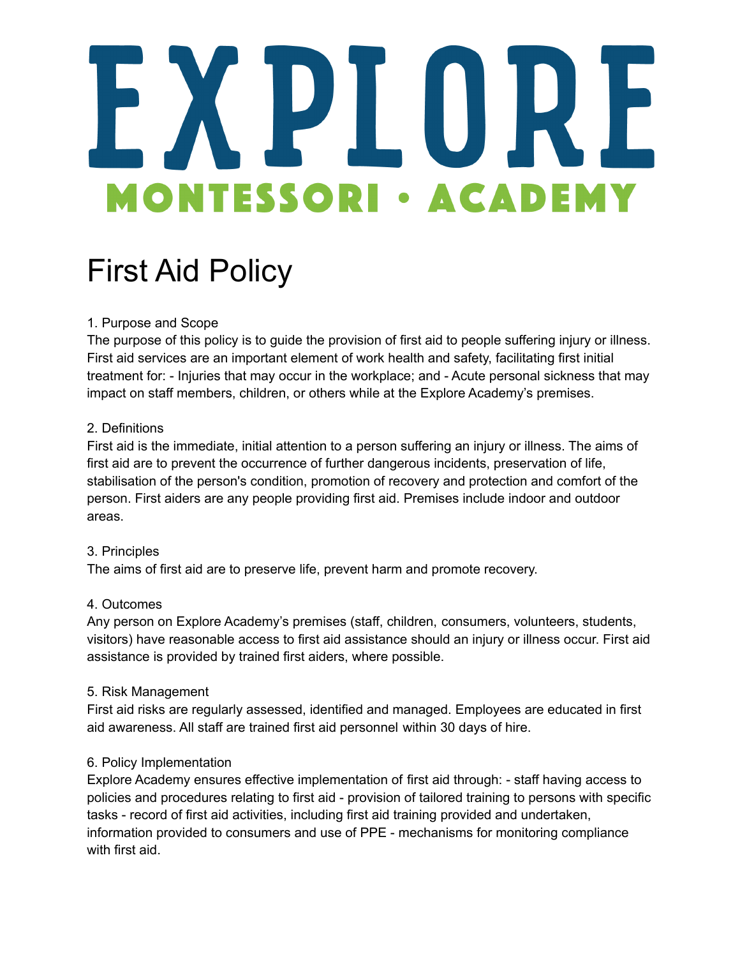## H **MONTESSORI • ACADEM**

### First Aid Policy

#### 1. Purpose and Scope

The purpose of this policy is to guide the provision of first aid to people suffering injury or illness. First aid services are an important element of work health and safety, facilitating first initial treatment for: - Injuries that may occur in the workplace; and - Acute personal sickness that may impact on staff members, children, or others while at the Explore Academy's premises.

#### 2. Definitions

First aid is the immediate, initial attention to a person suffering an injury or illness. The aims of first aid are to prevent the occurrence of further dangerous incidents, preservation of life, stabilisation of the person's condition, promotion of recovery and protection and comfort of the person. First aiders are any people providing first aid. Premises include indoor and outdoor areas.

#### 3. Principles

The aims of first aid are to preserve life, prevent harm and promote recovery.

#### 4. Outcomes

Any person on Explore Academy's premises (staff, children, consumers, volunteers, students, visitors) have reasonable access to first aid assistance should an injury or illness occur. First aid assistance is provided by trained first aiders, where possible.

#### 5. Risk Management

First aid risks are regularly assessed, identified and managed. Employees are educated in first aid awareness. All staff are trained first aid personnel within 30 days of hire.

#### 6. Policy Implementation

Explore Academy ensures effective implementation of first aid through: - staff having access to policies and procedures relating to first aid - provision of tailored training to persons with specific tasks - record of first aid activities, including first aid training provided and undertaken, information provided to consumers and use of PPE - mechanisms for monitoring compliance with first aid.